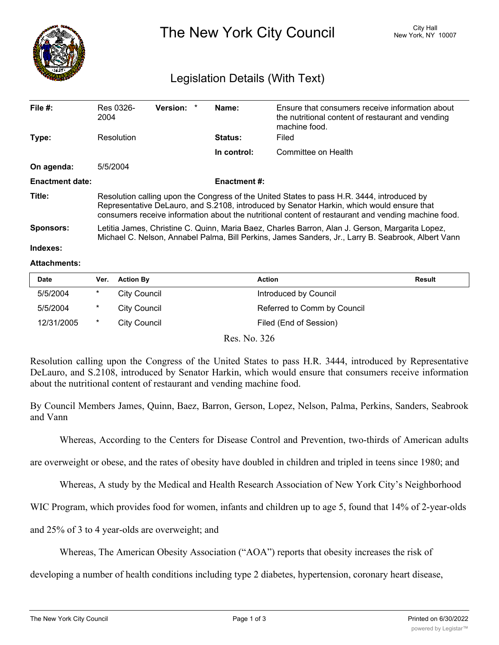

The New York City Council New York, NY 10007

## Legislation Details (With Text)

| File $#$ :             | Res 0326-<br>2004                                                                                                                                                                                                                                                                              | Version: * |  | Name:          | Ensure that consumers receive information about<br>the nutritional content of restaurant and vending<br>machine food. |  |  |
|------------------------|------------------------------------------------------------------------------------------------------------------------------------------------------------------------------------------------------------------------------------------------------------------------------------------------|------------|--|----------------|-----------------------------------------------------------------------------------------------------------------------|--|--|
| Type:                  | Resolution                                                                                                                                                                                                                                                                                     |            |  | <b>Status:</b> | Filed                                                                                                                 |  |  |
|                        |                                                                                                                                                                                                                                                                                                |            |  | In control:    | Committee on Health                                                                                                   |  |  |
| On agenda:             | 5/5/2004                                                                                                                                                                                                                                                                                       |            |  |                |                                                                                                                       |  |  |
| <b>Enactment date:</b> | <b>Enactment #:</b>                                                                                                                                                                                                                                                                            |            |  |                |                                                                                                                       |  |  |
| Title:                 | Resolution calling upon the Congress of the United States to pass H.R. 3444, introduced by<br>Representative DeLauro, and S.2108, introduced by Senator Harkin, which would ensure that<br>consumers receive information about the nutritional content of restaurant and vending machine food. |            |  |                |                                                                                                                       |  |  |
| <b>Sponsors:</b>       | Letitia James, Christine C. Quinn, Maria Baez, Charles Barron, Alan J. Gerson, Margarita Lopez,<br>Michael C. Nelson, Annabel Palma, Bill Perkins, James Sanders, Jr., Larry B. Seabrook, Albert Vann                                                                                          |            |  |                |                                                                                                                       |  |  |
| Indexes:               |                                                                                                                                                                                                                                                                                                |            |  |                |                                                                                                                       |  |  |

## **Attachments:**

| <b>Date</b> | Ver.    | <b>Action By</b> | Action                      | <b>Result</b> |
|-------------|---------|------------------|-----------------------------|---------------|
| 5/5/2004    | *       | City Council     | Introduced by Council       |               |
| 5/5/2004    | *       | City Council     | Referred to Comm by Council |               |
| 12/31/2005  | $\star$ | City Council     | Filed (End of Session)      |               |

Res. No. 326

Resolution calling upon the Congress of the United States to pass H.R. 3444, introduced by Representative DeLauro, and S.2108, introduced by Senator Harkin, which would ensure that consumers receive information about the nutritional content of restaurant and vending machine food.

By Council Members James, Quinn, Baez, Barron, Gerson, Lopez, Nelson, Palma, Perkins, Sanders, Seabrook and Vann

Whereas, According to the Centers for Disease Control and Prevention, two-thirds of American adults

are overweight or obese, and the rates of obesity have doubled in children and tripled in teens since 1980; and

Whereas, A study by the Medical and Health Research Association of New York City's Neighborhood

WIC Program, which provides food for women, infants and children up to age 5, found that 14% of 2-year-olds

and 25% of 3 to 4 year-olds are overweight; and

Whereas, The American Obesity Association ("AOA") reports that obesity increases the risk of

developing a number of health conditions including type 2 diabetes, hypertension, coronary heart disease,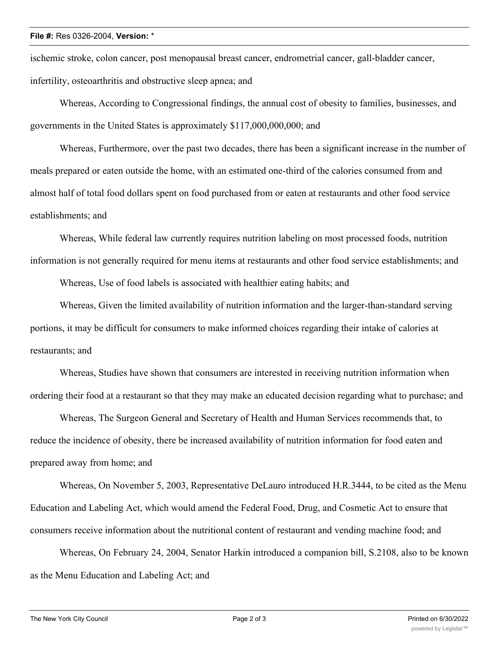## **File #:** Res 0326-2004, **Version:** \*

ischemic stroke, colon cancer, post menopausal breast cancer, endrometrial cancer, gall-bladder cancer, infertility, osteoarthritis and obstructive sleep apnea; and

Whereas, According to Congressional findings, the annual cost of obesity to families, businesses, and governments in the United States is approximately \$117,000,000,000; and

Whereas, Furthermore, over the past two decades, there has been a significant increase in the number of meals prepared or eaten outside the home, with an estimated one-third of the calories consumed from and almost half of total food dollars spent on food purchased from or eaten at restaurants and other food service establishments; and

Whereas, While federal law currently requires nutrition labeling on most processed foods, nutrition information is not generally required for menu items at restaurants and other food service establishments; and

Whereas, Use of food labels is associated with healthier eating habits; and

Whereas, Given the limited availability of nutrition information and the larger-than-standard serving portions, it may be difficult for consumers to make informed choices regarding their intake of calories at restaurants; and

Whereas, Studies have shown that consumers are interested in receiving nutrition information when ordering their food at a restaurant so that they may make an educated decision regarding what to purchase; and

Whereas, The Surgeon General and Secretary of Health and Human Services recommends that, to reduce the incidence of obesity, there be increased availability of nutrition information for food eaten and prepared away from home; and

Whereas, On November 5, 2003, Representative DeLauro introduced H.R.3444, to be cited as the Menu Education and Labeling Act, which would amend the Federal Food, Drug, and Cosmetic Act to ensure that consumers receive information about the nutritional content of restaurant and vending machine food; and

Whereas, On February 24, 2004, Senator Harkin introduced a companion bill, S.2108, also to be known as the Menu Education and Labeling Act; and